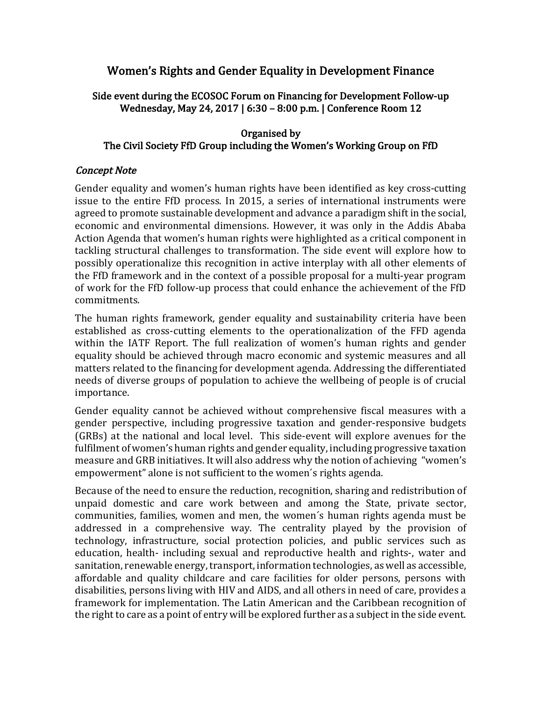# Women's Rights and Gender Equality in Development Finance

### Side event during the ECOSOC Forum on Financing for Development Follow-up Wednesday, May 24, 2017 | 6:30 - 8:00 p.m. | Conference Room 12

#### Organised by The Civil Society FfD Group including the Women's Working Group on FfD

#### **Concept Note**

Gender equality and women's human rights have been identified as key cross-cutting issue to the entire FfD process. In 2015, a series of international instruments were agreed to promote sustainable development and advance a paradigm shift in the social, economic and environmental dimensions. However, it was only in the Addis Ababa Action Agenda that women's human rights were highlighted as a critical component in tackling structural challenges to transformation. The side event will explore how to possibly operationalize this recognition in active interplay with all other elements of the FfD framework and in the context of a possible proposal for a multi-year program of work for the FfD follow-up process that could enhance the achievement of the FfD commitments.

The human rights framework, gender equality and sustainability criteria have been established as cross-cutting elements to the operationalization of the FFD agenda within the IATF Report. The full realization of women's human rights and gender equality should be achieved through macro economic and systemic measures and all matters related to the financing for development agenda. Addressing the differentiated needs of diverse groups of population to achieve the wellbeing of people is of crucial importance.

Gender equality cannot be achieved without comprehensive fiscal measures with a gender perspective, including progressive taxation and gender-responsive budgets (GRBs) at the national and local level. This side-event will explore avenues for the fulfilment of women's human rights and gender equality, including progressive taxation measure and GRB initiatives. It will also address why the notion of achieving "women's empowerment" alone is not sufficient to the women's rights agenda.

Because of the need to ensure the reduction, recognition, sharing and redistribution of unpaid domestic and care work between and among the State, private sector, communities, families, women and men, the women's human rights agenda must be addressed in a comprehensive way. The centrality played by the provision of technology, infrastructure, social protection policies, and public services such as education, health- including sexual and reproductive health and rights-, water and sanitation, renewable energy, transport, information technologies, as well as accessible, affordable and quality childcare and care facilities for older persons, persons with disabilities, persons living with HIV and AIDS, and all others in need of care, provides a framework for implementation. The Latin American and the Caribbean recognition of the right to care as a point of entry will be explored further as a subject in the side event.